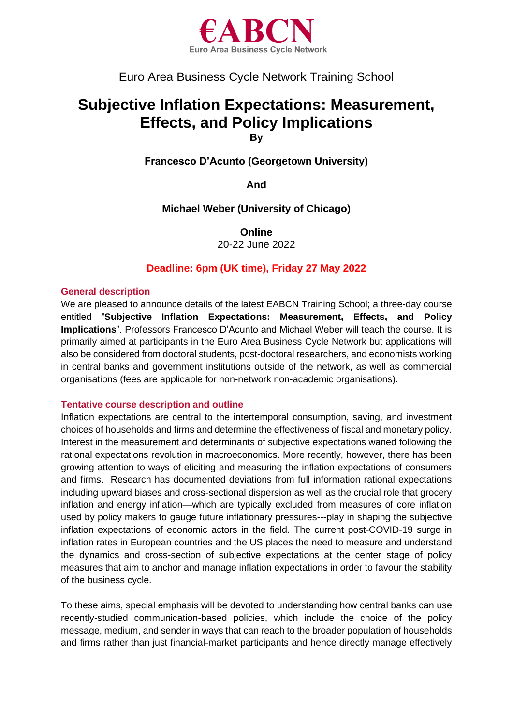

# Euro Area Business Cycle Network Training School

# **Subjective Inflation Expectations: Measurement, Effects, and Policy Implications**

**By**

**Francesco D'Acunto (Georgetown University)**

**And**

**Michael Weber (University of Chicago)**

**Online** 20-22 June 2022

# **Deadline: 6pm (UK time), Friday 27 May 2022**

## **General description**

We are pleased to announce details of the latest EABCN Training School; a three-day course entitled "**Subjective Inflation Expectations: Measurement, Effects, and Policy Implications**". Professors Francesco D'Acunto and Michael Weber will teach the course. It is primarily aimed at participants in the Euro Area Business Cycle Network but applications will also be considered from doctoral students, post-doctoral researchers, and economists working in central banks and government institutions outside of the network, as well as commercial organisations (fees are applicable for non-network non-academic organisations).

# **Tentative course description and outline**

Inflation expectations are central to the intertemporal consumption, saving, and investment choices of households and firms and determine the effectiveness of fiscal and monetary policy. Interest in the measurement and determinants of subjective expectations waned following the rational expectations revolution in macroeconomics. More recently, however, there has been growing attention to ways of eliciting and measuring the inflation expectations of consumers and firms. Research has documented deviations from full information rational expectations including upward biases and cross-sectional dispersion as well as the crucial role that grocery inflation and energy inflation—which are typically excluded from measures of core inflation used by policy makers to gauge future inflationary pressures---play in shaping the subjective inflation expectations of economic actors in the field. The current post-COVID-19 surge in inflation rates in European countries and the US places the need to measure and understand the dynamics and cross-section of subjective expectations at the center stage of policy measures that aim to anchor and manage inflation expectations in order to favour the stability of the business cycle.

To these aims, special emphasis will be devoted to understanding how central banks can use recently-studied communication-based policies, which include the choice of the policy message, medium, and sender in ways that can reach to the broader population of households and firms rather than just financial-market participants and hence directly manage effectively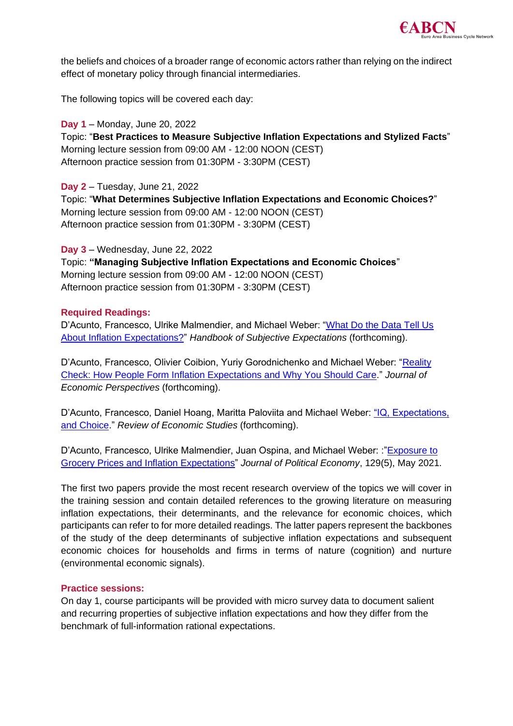

the beliefs and choices of a broader range of economic actors rather than relying on the indirect effect of monetary policy through financial intermediaries.

The following topics will be covered each day:

# **Day 1** – Monday, June 20, 2022

Topic: "**Best Practices to Measure Subjective Inflation Expectations and Stylized Facts**" Morning lecture session from 09:00 AM - 12:00 NOON (CEST) Afternoon practice session from 01:30PM - 3:30PM (CEST)

**Day 2** – Tuesday, June 21, 2022 Topic: "**What Determines Subjective Inflation Expectations and Economic Choices?**" Morning lecture session from 09:00 AM - 12:00 NOON (CEST) Afternoon practice session from 01:30PM - 3:30PM (CEST)

## **Day 3** – Wednesday, June 22, 2022

Topic: **"Managing Subjective Inflation Expectations and Economic Choices**" Morning lecture session from 09:00 AM - 12:00 NOON (CEST) Afternoon practice session from 01:30PM - 3:30PM (CEST)

## **Required Readings:**

D'Acunto, Francesco, Ulrike Malmendier, and Michael Weber: "What Do the Data Tell Us [About Inflation Expectations?"](https://papers.ssrn.com/sol3/papers.cfm?abstract_id=4048523) *Handbook of Subjective Expectations* (forthcoming).

D'Acunto, Francesco, Olivier Coibion, Yuriy Gorodnichenko and Michael Weber: "Reality [Check: How People Form Inflation Expectations and Why You Should Care.](https://scholar.google.com/scholar?cluster=10918087459700947035&hl=en&oi=scholarr)" *Journal of Economic Perspectives* (forthcoming).

D'Acunto, Francesco, Daniel Hoang, Maritta Paloviita and Michael Weber: "IQ, Expectations, [and Choice.](https://www.nber.org/system/files/working_papers/w25496/w25496.pdf)" *Review of Economic Studies* (forthcoming).

D'Acunto, Francesco, Ulrike Malmendier, Juan Ospina, and Michael Weber: :["Exposure to](https://www.journals.uchicago.edu/doi/10.1086/713192)  [Grocery Prices and Inflation Expectations"](https://www.journals.uchicago.edu/doi/10.1086/713192) *Journal of Political Economy*, 129(5), May 2021.

The first two papers provide the most recent research overview of the topics we will cover in the training session and contain detailed references to the growing literature on measuring inflation expectations, their determinants, and the relevance for economic choices, which participants can refer to for more detailed readings. The latter papers represent the backbones of the study of the deep determinants of subjective inflation expectations and subsequent economic choices for households and firms in terms of nature (cognition) and nurture (environmental economic signals).

#### **Practice sessions:**

On day 1, course participants will be provided with micro survey data to document salient and recurring properties of subjective inflation expectations and how they differ from the benchmark of full-information rational expectations.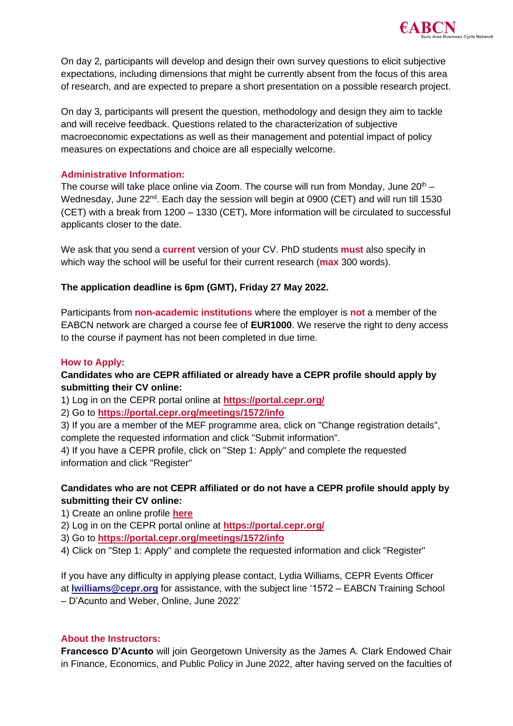

On day 2, participants will develop and design their own survey questions to elicit subjective expectations, including dimensions that might be currently absent from the focus of this area of research, and are expected to prepare a short presentation on a possible research project.

On day 3, participants will present the question, methodology and design they aim to tackle and will receive feedback. Questions related to the characterization of subjective macroeconomic expectations as well as their management and potential impact of policy measures on expectations and choice are all especially welcome.

# **Administrative Information:**

The course will take place online via Zoom. The course will run from Monday, June  $20<sup>th</sup>$  – Wednesday, June 22<sup>nd</sup>. Each day the session will begin at 0900 (CET) and will run till 1530 (CET) with a break from 1200 – 1330 (CET)**.** More information will be circulated to successful applicants closer to the date.

We ask that you send a **current** version of your CV. PhD students **must** also specify in which way the school will be useful for their current research (**max** 300 words).

# **The application deadline is 6pm (GMT), Friday 27 May 2022.**

Participants from **non-academic institutions** where the employer is **not** a member of the EABCN network are charged a course fee of **EUR1000**. We reserve the right to deny access to the course if payment has not been completed in due time.

# **How to Apply:**

# **Candidates who are CEPR affiliated or already have a CEPR profile should apply by submitting their CV online:**

1) Log in on the CEPR portal online at **<https://portal.cepr.org/>**

2) Go to **<https://portal.cepr.org/meetings/1572/info>**

3) If you are a member of the MEF programme area, click on "Change registration details", complete the requested information and click "Submit information".

4) If you have a CEPR profile, click on "Step 1: Apply" and complete the requested information and click "Register"

# **Candidates who are not CEPR affiliated or do not have a CEPR profile should apply by submitting their CV online:**

- 1) Create an online profile **[here](https://portal.cepr.org/user/register)**
- 2) Log in on the CEPR portal online at **<https://portal.cepr.org/>**
- 3) Go to **<https://portal.cepr.org/meetings/1572/info>**
- 4) Click on "Step 1: Apply" and complete the requested information and click "Register"

If you have any difficulty in applying please contact, Lydia Williams, CEPR Events Officer at **[lwilliams@cepr.org](mailto:lwilliams@cepr.org?subject=1488-%C2%A0EABCN%20Training%20School%20-%20Ludwig%20Straub%20-%20Mannheim%2C%202022)** for assistance, with the subject line '1572 – EABCN Training School – D'Acunto and Weber, Online, June 2022'

#### **About the Instructors:**

**Francesco D'Acunto** will join Georgetown University as the James A. Clark Endowed Chair in Finance, Economics, and Public Policy in June 2022, after having served on the faculties of